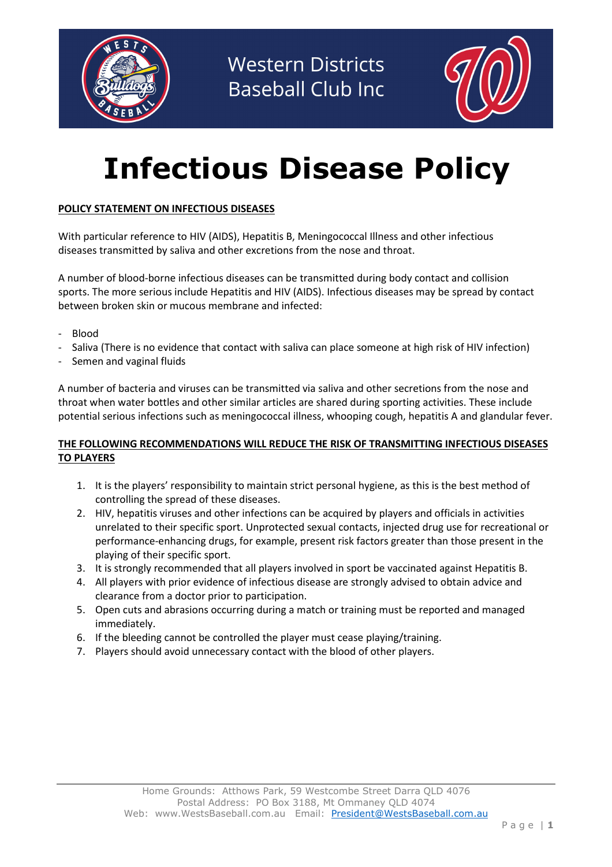



# Infectious Disease Policy

### POLICY STATEMENT ON INFECTIOUS DISEASES

With particular reference to HIV (AIDS), Hepatitis B, Meningococcal Illness and other infectious diseases transmitted by saliva and other excretions from the nose and throat.

A number of blood-borne infectious diseases can be transmitted during body contact and collision sports. The more serious include Hepatitis and HIV (AIDS). Infectious diseases may be spread by contact between broken skin or mucous membrane and infected:

- Blood
- Saliva (There is no evidence that contact with saliva can place someone at high risk of HIV infection)
- Semen and vaginal fluids

A number of bacteria and viruses can be transmitted via saliva and other secretions from the nose and throat when water bottles and other similar articles are shared during sporting activities. These include potential serious infections such as meningococcal illness, whooping cough, hepatitis A and glandular fever.

#### THE FOLLOWING RECOMMENDATIONS WILL REDUCE THE RISK OF TRANSMITTING INFECTIOUS DISEASES TO PLAYERS

- 1. It is the players' responsibility to maintain strict personal hygiene, as this is the best method of controlling the spread of these diseases.
- 2. HIV, hepatitis viruses and other infections can be acquired by players and officials in activities unrelated to their specific sport. Unprotected sexual contacts, injected drug use for recreational or performance-enhancing drugs, for example, present risk factors greater than those present in the playing of their specific sport.
- 3. It is strongly recommended that all players involved in sport be vaccinated against Hepatitis B.
- 4. All players with prior evidence of infectious disease are strongly advised to obtain advice and clearance from a doctor prior to participation.
- 5. Open cuts and abrasions occurring during a match or training must be reported and managed immediately.
- 6. If the bleeding cannot be controlled the player must cease playing/training.
- 7. Players should avoid unnecessary contact with the blood of other players.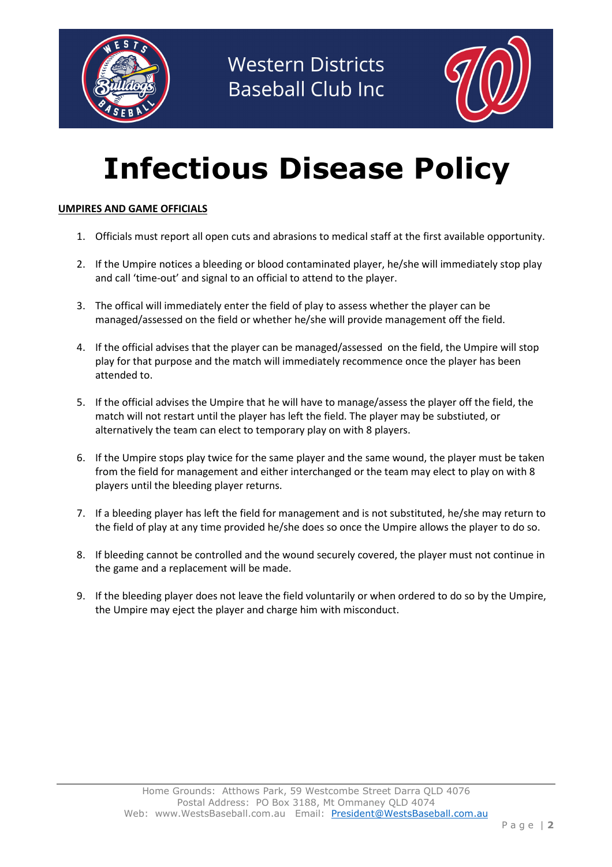



# Infectious Disease Policy

### UMPIRES AND GAME OFFICIALS

- 1. Officials must report all open cuts and abrasions to medical staff at the first available opportunity.
- 2. If the Umpire notices a bleeding or blood contaminated player, he/she will immediately stop play and call 'time-out' and signal to an official to attend to the player.
- 3. The offical will immediately enter the field of play to assess whether the player can be managed/assessed on the field or whether he/she will provide management off the field.
- 4. If the official advises that the player can be managed/assessed on the field, the Umpire will stop play for that purpose and the match will immediately recommence once the player has been attended to.
- 5. If the official advises the Umpire that he will have to manage/assess the player off the field, the match will not restart until the player has left the field. The player may be substiuted, or alternatively the team can elect to temporary play on with 8 players.
- 6. If the Umpire stops play twice for the same player and the same wound, the player must be taken from the field for management and either interchanged or the team may elect to play on with 8 players until the bleeding player returns.
- 7. If a bleeding player has left the field for management and is not substituted, he/she may return to the field of play at any time provided he/she does so once the Umpire allows the player to do so.
- 8. If bleeding cannot be controlled and the wound securely covered, the player must not continue in the game and a replacement will be made.
- 9. If the bleeding player does not leave the field voluntarily or when ordered to do so by the Umpire, the Umpire may eject the player and charge him with misconduct.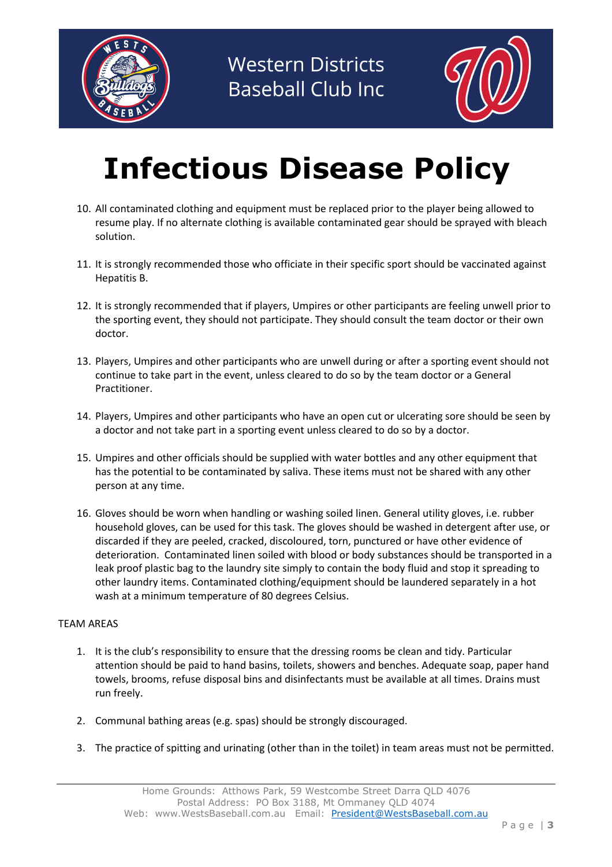



### Infectious Disease Policy

- 10. All contaminated clothing and equipment must be replaced prior to the player being allowed to resume play. If no alternate clothing is available contaminated gear should be sprayed with bleach solution.
- 11. It is strongly recommended those who officiate in their specific sport should be vaccinated against Hepatitis B.
- 12. It is strongly recommended that if players, Umpires or other participants are feeling unwell prior to the sporting event, they should not participate. They should consult the team doctor or their own doctor.
- 13. Players, Umpires and other participants who are unwell during or after a sporting event should not continue to take part in the event, unless cleared to do so by the team doctor or a General Practitioner.
- 14. Players, Umpires and other participants who have an open cut or ulcerating sore should be seen by a doctor and not take part in a sporting event unless cleared to do so by a doctor.
- 15. Umpires and other officials should be supplied with water bottles and any other equipment that has the potential to be contaminated by saliva. These items must not be shared with any other person at any time.
- 16. Gloves should be worn when handling or washing soiled linen. General utility gloves, i.e. rubber household gloves, can be used for this task. The gloves should be washed in detergent after use, or discarded if they are peeled, cracked, discoloured, torn, punctured or have other evidence of deterioration. Contaminated linen soiled with blood or body substances should be transported in a leak proof plastic bag to the laundry site simply to contain the body fluid and stop it spreading to other laundry items. Contaminated clothing/equipment should be laundered separately in a hot wash at a minimum temperature of 80 degrees Celsius.

#### TEAM AREAS

- 1. It is the club's responsibility to ensure that the dressing rooms be clean and tidy. Particular attention should be paid to hand basins, toilets, showers and benches. Adequate soap, paper hand towels, brooms, refuse disposal bins and disinfectants must be available at all times. Drains must run freely.
- 2. Communal bathing areas (e.g. spas) should be strongly discouraged.
- 3. The practice of spitting and urinating (other than in the toilet) in team areas must not be permitted.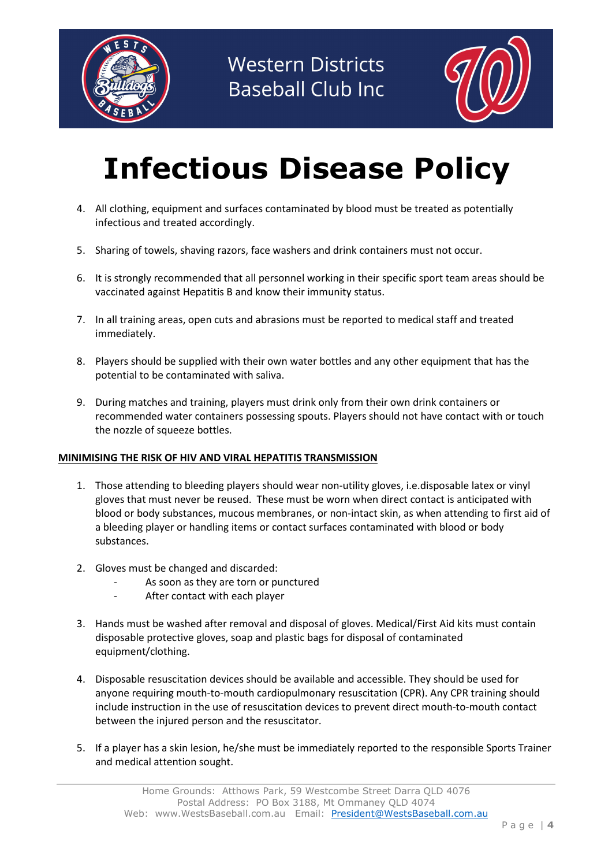



## Infectious Disease Policy

- 4. All clothing, equipment and surfaces contaminated by blood must be treated as potentially infectious and treated accordingly.
- 5. Sharing of towels, shaving razors, face washers and drink containers must not occur.
- 6. It is strongly recommended that all personnel working in their specific sport team areas should be vaccinated against Hepatitis B and know their immunity status.
- 7. In all training areas, open cuts and abrasions must be reported to medical staff and treated immediately.
- 8. Players should be supplied with their own water bottles and any other equipment that has the potential to be contaminated with saliva.
- 9. During matches and training, players must drink only from their own drink containers or recommended water containers possessing spouts. Players should not have contact with or touch the nozzle of squeeze bottles.

#### MINIMISING THE RISK OF HIV AND VIRAL HEPATITIS TRANSMISSION

- 1. Those attending to bleeding players should wear non-utility gloves, i.e.disposable latex or vinyl gloves that must never be reused. These must be worn when direct contact is anticipated with blood or body substances, mucous membranes, or non-intact skin, as when attending to first aid of a bleeding player or handling items or contact surfaces contaminated with blood or body substances.
- 2. Gloves must be changed and discarded:
	- As soon as they are torn or punctured
	- After contact with each player
- 3. Hands must be washed after removal and disposal of gloves. Medical/First Aid kits must contain disposable protective gloves, soap and plastic bags for disposal of contaminated equipment/clothing.
- 4. Disposable resuscitation devices should be available and accessible. They should be used for anyone requiring mouth-to-mouth cardiopulmonary resuscitation (CPR). Any CPR training should include instruction in the use of resuscitation devices to prevent direct mouth-to-mouth contact between the injured person and the resuscitator.
- 5. If a player has a skin lesion, he/she must be immediately reported to the responsible Sports Trainer and medical attention sought.